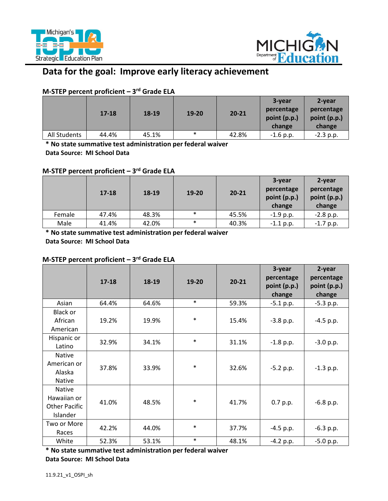



# **Data for the goal: Improve early literacy achievement**

# **M-STEP percent proficient – 3rd Grade ELA**

|              | $17 - 18$ | 18-19 | $19 - 20$ | $20 - 21$ | 3-year<br>percentage<br>point (p.p.)<br>change | 2-year<br>percentage<br>point (p.p.)<br>change |
|--------------|-----------|-------|-----------|-----------|------------------------------------------------|------------------------------------------------|
| All Students | 44.4%     | 45.1% | $\ast$    | 42.8%     | $-1.6$ p.p.                                    | $-2.3$ p.p.                                    |

 **\* No state summative test administration per federal waiver Data Source: MI School Data** 

# **M-STEP percent proficient – 3rd Grade ELA**

|        | $17 - 18$ | 18-19 | 19-20  | $20 - 21$ | 3-year<br>percentage<br>point (p.p.)<br>change | 2-year<br>percentage<br>point (p.p.)<br>change |
|--------|-----------|-------|--------|-----------|------------------------------------------------|------------------------------------------------|
| Female | 47.4%     | 48.3% | $\ast$ | 45.5%     | $-1.9$ p.p.                                    | $-2.8$ p.p.                                    |
| Male   | 41.4%     | 42.0% | $\ast$ | 40.3%     | $-1.1$ p.p.                                    | $-1.7$ p.p.                                    |

 **\* No state summative test administration per federal waiver Data Source: MI School Data** 

# **M-STEP percent proficient – 3rd Grade ELA**

|                                                                  | $17 - 18$ | 18-19 | 19-20  | $20 - 21$ | 3-year<br>percentage<br>point (p.p.)<br>change | 2-year<br>percentage<br>point (p.p.)<br>change |
|------------------------------------------------------------------|-----------|-------|--------|-----------|------------------------------------------------|------------------------------------------------|
| Asian                                                            | 64.4%     | 64.6% | $\ast$ | 59.3%     | $-5.1$ p.p.                                    | $-5.3$ p.p.                                    |
| <b>Black or</b><br>African<br>American                           | 19.2%     | 19.9% | $\ast$ | 15.4%     | $-3.8$ p.p.                                    | $-4.5$ p.p.                                    |
| Hispanic or<br>Latino                                            | 32.9%     | 34.1% | $\ast$ | 31.1%     | $-1.8$ p.p.                                    | $-3.0 p.p.$                                    |
| Native<br>American or<br>Alaska<br><b>Native</b>                 | 37.8%     | 33.9% | $\ast$ | 32.6%     | $-5.2 p.p.$                                    | $-1.3$ p.p.                                    |
| <b>Native</b><br>Hawaiian or<br><b>Other Pacific</b><br>Islander | 41.0%     | 48.5% | $\ast$ | 41.7%     | 0.7 p.p.                                       | $-6.8$ p.p.                                    |
| Two or More<br>Races                                             | 42.2%     | 44.0% | $\ast$ | 37.7%     | $-4.5$ p.p.                                    | $-6.3$ p.p.                                    |
| White                                                            | 52.3%     | 53.1% | $\ast$ | 48.1%     | $-4.2 p.p.$                                    | $-5.0 p.p.$                                    |

 **\* No state summative test administration per federal waiver** 

 **Data Source: MI School Data**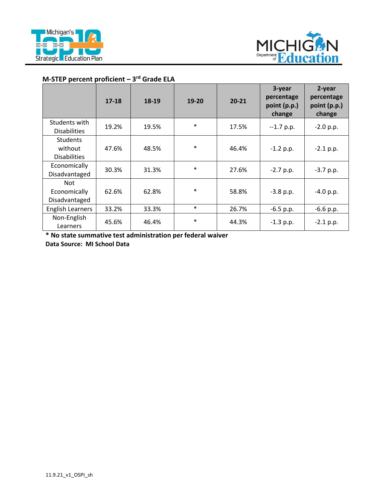



#### **M-STEP percent proficient – 3rd Grade ELA**

|                                                   | $17 - 18$ | 18-19 | $19 - 20$ | $20 - 21$ | 3-year<br>percentage<br>point (p.p.)<br>change | 2-year<br>percentage<br>point (p.p.)<br>change |
|---------------------------------------------------|-----------|-------|-----------|-----------|------------------------------------------------|------------------------------------------------|
| Students with<br><b>Disabilities</b>              | 19.2%     | 19.5% | $\ast$    | 17.5%     | $-1.7$ p.p.                                    | $-2.0 p.p.$                                    |
| <b>Students</b><br>without<br><b>Disabilities</b> | 47.6%     | 48.5% | $\ast$    | 46.4%     | $-1.2$ p.p.                                    | $-2.1$ p.p.                                    |
| Economically<br>Disadvantaged                     | 30.3%     | 31.3% | $\ast$    | 27.6%     | $-2.7 p.p.$                                    | $-3.7 p.p.$                                    |
| <b>Not</b><br>Economically<br>Disadvantaged       | 62.6%     | 62.8% | $\ast$    | 58.8%     | $-3.8$ p.p.                                    | $-4.0 p.p.$                                    |
| <b>English Learners</b>                           | 33.2%     | 33.3% | $\ast$    | 26.7%     | $-6.5$ p.p.                                    | $-6.6$ p.p.                                    |
| Non-English<br>Learners                           | 45.6%     | 46.4% | $\ast$    | 44.3%     | $-1.3$ p.p.                                    | $-2.1$ p.p.                                    |

 **\* No state summative test administration per federal waiver Data Source: MI School Data**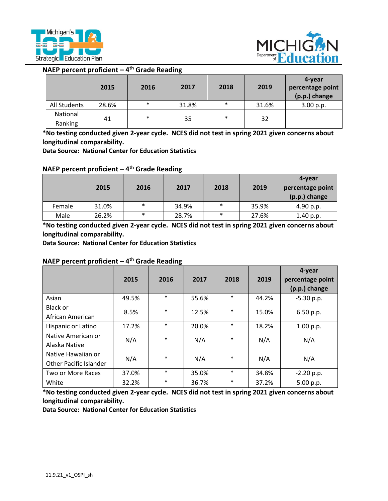



## **NAEP percent proficient – 4th Grade Reading**

|                     | 2015  | 2016   | 2017  | 2018   | 2019  | 4-year<br>percentage point<br>(p.p.) change |
|---------------------|-------|--------|-------|--------|-------|---------------------------------------------|
| All Students        | 28.6% | $\ast$ | 31.8% | $\ast$ | 31.6% | 3.00 p.p.                                   |
| National<br>Ranking | 41    | $\ast$ | 35    | $\ast$ | 32    |                                             |

**\*No testing conducted given 2-year cycle. NCES did not test in spring 2021 given concerns about longitudinal comparability.** 

 **Data Source: National Center for Education Statistics** 

#### **NAEP percent proficient – 4th Grade Reading**

|        | 2015  | 2016   | 2017  | 2018   | 2019  | 4-year<br>percentage point<br>(p.p.) change |
|--------|-------|--------|-------|--------|-------|---------------------------------------------|
| Female | 31.0% | $\ast$ | 34.9% | $\ast$ | 35.9% | 4.90 p.p.                                   |
| Male   | 26.2% | $\ast$ | 28.7% | $\ast$ | 27.6% | 1.40 p.p.                                   |

**\*No testing conducted given 2-year cycle. NCES did not test in spring 2021 given concerns about longitudinal comparability.** 

 **Data Source: National Center for Education Statistics** 

#### **NAEP percent proficient – 4th Grade Reading**

|                                                     | 2015  | 2016   | 2017  | 2018   | 2019  | 4-year<br>percentage point<br>(p.p.) change |
|-----------------------------------------------------|-------|--------|-------|--------|-------|---------------------------------------------|
| Asian                                               | 49.5% | $\ast$ | 55.6% | $\ast$ | 44.2% | $-5.30$ p.p.                                |
| Black or<br>African American                        | 8.5%  | $\ast$ | 12.5% | *      | 15.0% | 6.50 p.p.                                   |
| Hispanic or Latino                                  | 17.2% | $\ast$ | 20.0% | $\ast$ | 18.2% | 1.00 p.p.                                   |
| Native American or<br>Alaska Native                 | N/A   | $\ast$ | N/A   | $\ast$ | N/A   | N/A                                         |
| Native Hawaiian or<br><b>Other Pacific Islander</b> | N/A   | $\ast$ | N/A   | *      | N/A   | N/A                                         |
| Two or More Races                                   | 37.0% | $\ast$ | 35.0% | $\ast$ | 34.8% | $-2.20$ p.p.                                |
| White                                               | 32.2% | $\ast$ | 36.7% | $\ast$ | 37.2% | 5.00 p.p.                                   |

**\*No testing conducted given 2-year cycle. NCES did not test in spring 2021 given concerns about longitudinal comparability.** 

 **Data Source: National Center for Education Statistics**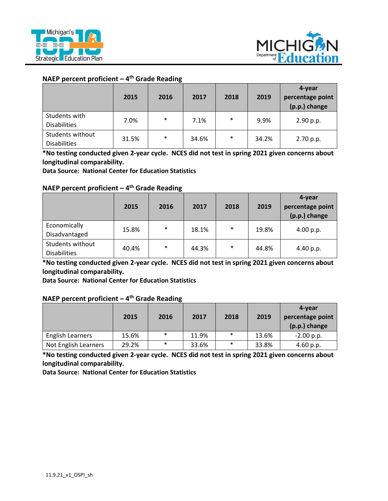



#### **NAEP percent proficient – 4th Grade Reading**

|                     | 2015  | 2016   | 2017  | 2018   | 2019  | 4-year<br>percentage point<br>(p.p.) change |
|---------------------|-------|--------|-------|--------|-------|---------------------------------------------|
| Students with       | 7.0%  | $\ast$ | 7.1%  | $\ast$ | 9.9%  | 2.90 p.p.                                   |
| <b>Disabilities</b> |       |        |       |        |       |                                             |
| Students without    | 31.5% | $\ast$ |       | $\ast$ | 34.2% |                                             |
| <b>Disabilities</b> |       |        | 34.6% |        |       | 2.70 p.p.                                   |

**\*No testing conducted given 2-year cycle. NCES did not test in spring 2021 given concerns about longitudinal comparability.** 

 **Data Source: National Center for Education Statistics** 

## **NAEP percent proficient – 4th Grade Reading**

|                     | 2015  | 2016   | 2017  | 2018   | 2019  | 4-year<br>percentage point<br>(p.p.) change |
|---------------------|-------|--------|-------|--------|-------|---------------------------------------------|
| Economically        | 15.8% | $\ast$ | 18.1% | $\ast$ | 19.8% | 4.00 p.p.                                   |
| Disadvantaged       |       |        |       |        |       |                                             |
| Students without    |       | $\ast$ | 44.3% | $\ast$ | 44.8% |                                             |
| <b>Disabilities</b> | 40.4% |        |       |        |       | 4.40 p.p.                                   |

**\*No testing conducted given 2-year cycle. NCES did not test in spring 2021 given concerns about longitudinal comparability.** 

 **Data Source: National Center for Education Statistics** 

#### **NAEP percent proficient – 4th Grade Reading**

|                         | 2015  | 2016   | 2017  | 2018   | 2019  | 4-vear<br>percentage point<br>(p.p.) change |
|-------------------------|-------|--------|-------|--------|-------|---------------------------------------------|
| <b>English Learners</b> | 15.6% | $\ast$ | 11.9% | $\ast$ | 13.6% | $-2.00$ p.p.                                |
| Not English Learners    | 29.2% | $\ast$ | 33.6% | $\ast$ | 33.8% | 4.60 p.p.                                   |

**\*No testing conducted given 2-year cycle. NCES did not test in spring 2021 given concerns about longitudinal comparability.** 

 **Data Source: National Center for Education Statistics**